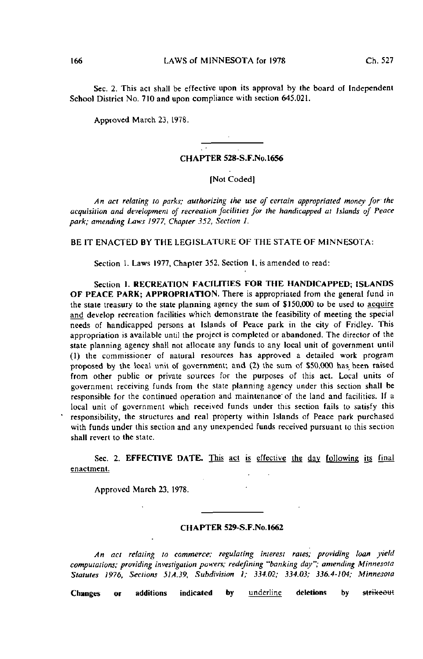Sec. 2. This act shall be effective upon its approval by the board of Independent School District No. 710 and upon compliance with section 645.021.

Approved March 23, 1978.

#### CHAPTER 528-S.F.No.l656

# [Not Coded]

An act relating to parks; authorizing the use of certain appropriated money for the acquisition and development of recreation facilities for the handicapped at islands of Peace park; amending Laws 1977, Chapter 352, Section I.

BE IT ENACTED BY THE LEGISLATURE OF THE STATE OF MINNESOTA:

Section 1. Laws 1977, Chapter 352, Section 1, is amended to read:

Section 1. RECREATION FACILITIES FOR THE HANDICAPPED; ISLANDS OF PEACE PARK; APPROPRIATION. There is appropriated from the general fund in the state treasury to the state planning agency the sum of \$150,000 to be used to acquire and develop recreation facilities which demonstrate the feasibility of meeting the special needs of handicapped persons at Islands of Peace park in the city of Fridley. This appropriation is available until the project is completed or abandoned. The director of the state planning agency shall not allocate any funds to any local unit of government until (1) the commissioner of natural resources has approved a detailed work program proposed by the local unit of government; and (2) the sum of \$50,000 has been raised from other public or private sources for the purposes of this act. Local units of government receiving funds from the state planning agency under this section shall be responsible for the continued operation and maintenance'of the land and facilities. If a local unit of government which received funds under this section fails to satisfy this responsibility, the structures and real property within Islands of Peace park purchased with funds under this section and any unexpended funds received pursuant to this section shall revert to the state.

Sec. 2. EFFECTIVE DATE. This act is effective the day following its final enactment.

Approved March 23, 1978.

## CHAPTER S29-S-F.No.1662

An act relating to commerce; regulating interest rates; providing loan yield computations; providing investigation powers; redefining "banking day"; amending Minnesota Statutes 1976, Sections 51A.39, Subdivision I; 334.02; 334.03; 336.4-104; Minnesota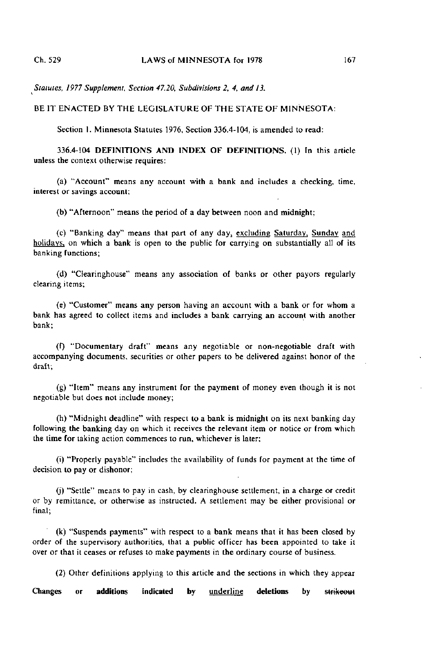Statutes, 1977 Supplement, Section 47.20, Subdivisions 2, 4, and 13.

BE IT ENACTED BY THE LEGISLATURE OF THE STATE OF MINNESOTA:

Section I. Minnesota Statutes 1976, Section 336.4-104, is amended to read:

336.4-104 DEFINITIONS AND INDEX OF DEFINITIONS. (1) In this article unless the context otherwise requires:

(a) "Account" means any account with a bank and includes a checking, time, interest or savings account;

(b) "Afternoon" means the period of a day between noon and midnight;

(c) "Banking day" means that part of any day, excluding Saturday, Sunday and holidays, on which a bank is open to the public for carrying on substantially all of its banking functions;

(d) "Clearinghouse" means any association of banks or other payers regularly clearing items;

(e) "Customer" means any person having an account with a bank or for whom a bank has agreed to collect items and includes a bank carrying an account with another bank;

(0 "Documentary draft" means any negotiable or non-negotiable draft with accompanying documents, securities or other papers to be delivered against honor of the draft;

(g) "Item" means any instrument for the payment of money even though it is not negotiable but does not include money;

(h) "Midnight deadline" with respect to a bank is midnight on its next banking day following the banking day on which it receives the relevant item or notice or from which the time for taking action commences to run, whichever is later;

(1) "Properly payable" includes the availability of funds for payment at the time of decision to pay or dishonor;

(j) "Settle" means to pay in cash, by clearinghouse settlement, in a charge or credit or by remittance, or otherwise as instructed. A settlement may be either provisional or final;

(k) "Suspends payments" with respect to a bank means that it has been closed by order of the supervisory authorities, that a public officer has been appointed to take it over or that it ceases or refuses to make payments in the ordinary course of business.

(2) Other definitions applying to this article and the sections in which they appear Changes or additions indicated by underline deletions by strikeout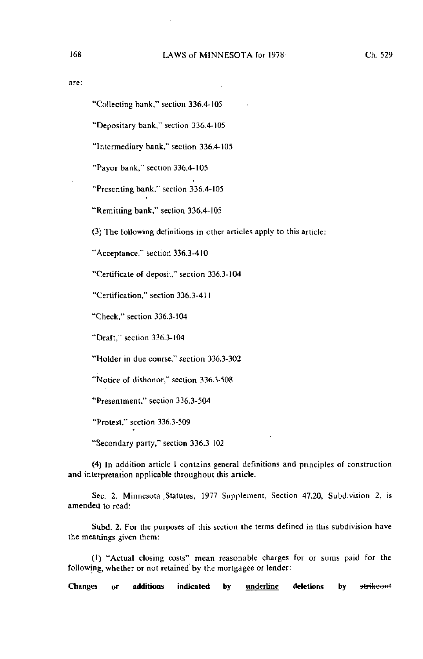"Collecting bank," section 336.4-105

"Depositary bank," section 336.4-105

"Intermediary bank," section 336.4-105

"Payer bank," section 336.4-105

"Presenting bank," section 336.4-105

"Remitting bank," section 336.4-105

(3) The following definitions in other articles apply to this article:

"Acceptance," section 336.3-410

"Certificate of deposit," section 336.3-104

"Certification," section 336.3-411

"Check," section 336.3-104

"Draft," section 336.3-104

"Holder in due course," section 336.3-302

"Notice of dishonor," section 336.3-508

"Presentment," section 336.3-504

"Protest," section 336.3-509

"Secondary party," section 336.3-102

(4) In addition article 1 contains general definitions and principles of construction and interpretation applicable throughout this article.

Sec. 2. Minnesota Statutes, 1977 Supplement, Section 47.20, Subdivision 2, is amended to read:

Subd. 2. For the purposes of this section the terms defined in this subdivision have the meanings given them:

(1) "Actual closing costs" mean reasonable charges for or sums paid for the following, whether or not retained'by the mortgagee or lender: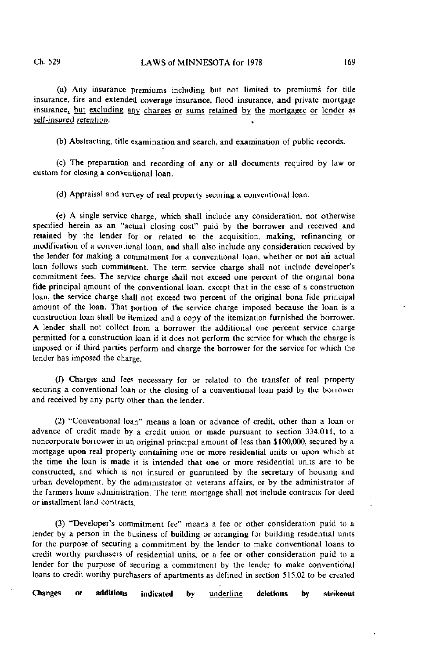(a) Any insurance premiums including but not limited to premiums for title insurance, fire and extended coverage insurance, flood insurance, and private mortgage insurance, but excluding any charges or sums retained by the mortgagee or lender as self-insured retention.

(b) Abstracting, title examination and search, and examination of public records.

(c) The preparation and recording of any or all documents required by law or custom for closing a conventional loan.

(d) Appraisal and survey of real property securing a conventional loan.

(e) A single service charge, which shall include any consideration, not otherwise specified herein as an "actual closing cost" paid by the borrower and received and retained by the lender for or related to the acquisition, making, refinancing or modification of a conventional loan, and shall also include any consideration received by the lender for making a commitment for a conventional loan, whether or not an actual loan follows such commitment. The term service charge shall not include developer's commitment fees. The service charge shall not exceed one percent of the original bona fide principal amount of the conventional loan, except that in the case of a construction loan, the service charge shall not exceed two percent of the original bona fide principal amount of the loan. That portion of the service charge imposed because the loan is a construction loan shall be itemized and a copy of the itemization furnished the borrower. A lender shall not collect from a borrower the additional one percent service charge permitted for a construction loan if it does not perform the service for which the charge is imposed or if third parties perform and charge the borrower for the service for which the lender has imposed the charge.

(f) Charges and fees necessary for or related to the transfer of real property securing a conventional loan or the closing of a conventional loan paid by the borrower and received by any party other than the lender.

(2) "Conventional loan" means a loan or advance of credit, other than a loan or advance of credit made by a credit union or made pursuant to section 334.011, to a noncorporate borrower in an original principal amount of less than \$100,000, secured by a mortgage upon real property containing one or more residential units or upon which at the time the loan is made it is intended that one or more residential units are to be constructed, and which is not insured or guaranteed by the secretary of housing and urban development, by the administrator of veterans affairs, or by the administrator of the farmers home administration. The term mortgage shall not include contracts for deed or installment land contracts.

(3) "Developer's commitment fee" means a fee or other consideration paid to a lender by a person in the business of building or arranging for building residential units for the purpose of securing a commitment by the lender to make conventional loans to credit worthy purchasers of residential units, or a fee or other consideration paid to a lender for the purpose of securing a commitment by the lender to make conventional loans to credit worthy purchasers of apartments as defined in section 515.02 to be created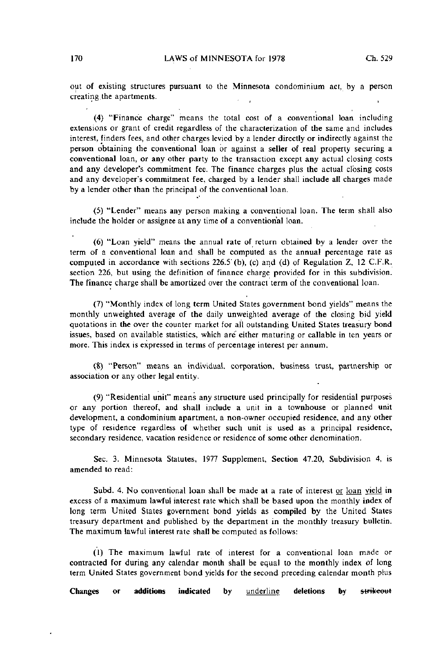out of existing structures pursuant to the Minnesota condominium act, by a person creating the apartments.

(4) "Finance charge" means the total cost of a conventional loan including extensions or grant of credit regardless of the characterization of the same and includes interest, finders fees, and other charges levied by a lender directly or indirectly against the person obtaining the conventional loan or against a seller of real property securing a conventional loan, or any other party to the transaction except any actual closing costs and any developer's commitment fee. The finance charges plus the actual closing costs and any developer's commitment fee, charged by a lender shall include all charges made by a lender other than the principal of the conventional loan.

(5) "Lender" means any person making a conventional loan. The term shall also include the holder or assignee at any time of a conventional loan.

(6) "Loan yield" means the annual rate of return obtained by a lender over the term of a conventional loan and shall be computed as the annual percentage rate as computed in accordance with sections 226.5' (b), (c) and (d) of Regulation Z, 12 C.F.R. section 226, but using the definition of finance charge provided for in this subdivision. The finance charge shall be amortized over the contract term of the conventional loan.

(7) "Monthly index of long term United States government bond yields" means the monthly unweighted average of the daily unweighted average of the closing bid yield quotations in the over the counter markel for all outstanding United States treasury bond issues, based on available statistics, which are either maturing or callable in ten years or more. This index is expressed in terms of percentage interest per annum.

(8) "Person" means an individual, corporation, business trust, partnership or association or any other legal entity.

(9) "Residential unit" means any structure used principally for residential purposes or any portion thereof, and shall include a unit in a townhouse or planned unit development, a condominium apartment, a non-owner occupied residence, and any other type of residence regardless of whether such unit is used as a principal residence, secondary residence, vacation residence or residence of some other denomination.

Sec. 3. Minnesota Statutes, 1977 Supplement, Section 47.20, Subdivision 4, is amended to read:

Subd. 4. No conventional loan shall be made at a rate of interest or loan yield in excess of a maximum lawful interest rate which shall be based upon the monthly index of long term United States government bond yields as compiled by the United States treasury department and published by the department in the monthly treasury bulletin. The maximum lawful interest rate shall be computed as follows:

(1) The maximum lawful rate of interest for a conventional loan made or contracted for during any calendar month shall be equal to the monthly index of long term United States government bond yields for the second preceding calendar month plus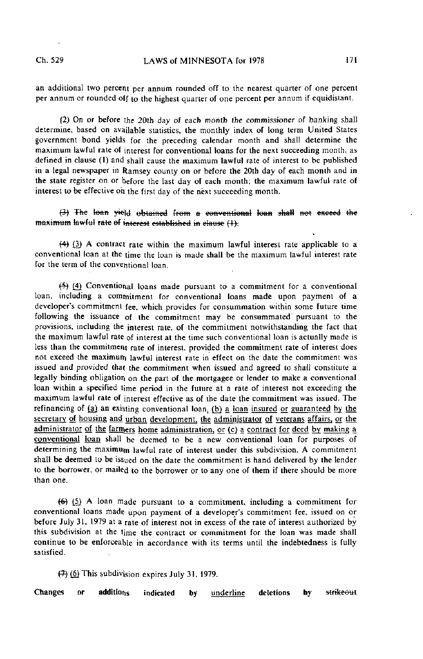an additional two percent per annum rounded off to the nearest quarter of one percent per annum or rounded off to the highest quarter of one percent per annum if equidistant.

(2) On or before the 20th day of each month the commissioner of banking shall determine, based on available statistics, the monthly index of long term United States government bond yields for the preceding calendar month and shall determine the maximum lawful rate of interest for conventional loans for the next succeeding month, as defined in clause (I) and shall cause the maximum lawful rate of interest to be published in a legal newspaper in Ramsey county on or before the 20th day of each month and in the state register on or before the last day of each month; the maximum lawful rate of interest to be effective oh the first day of the next succeeding month.

(3) The loan yield obtained from a conventional loan shall not exceed the maximum lawful rate of interest established in elause (1).

f4) (3) A contract rate within the maximum lawful interest rate applicable to a conventional loan at the time the loan is made shall be the maximum lawful interest rate for the term of the conventional loan.

 $(5)$  (4) Conventional loans made pursuant to a commitment for a conventional loan, including a commitment for conventional loans made upon payment of a developer's commitment fee. which provides for consummation within some future time following the issuance of the commitment may be consummated pursuant to the provisions, including the interest rate, of the commitment notwithstanding the fact that the maximum lawful rate of interest at the time such conventional loan is actually made is less than the commitment rate of interest, provided the commitment rate of interest does not exceed the maximum lawful interest rate in effect on the date the commitment was issued and provided that the commitment when issued and agreed to shall constitute a legally binding obligation on the part of the mortgagee or lender to make a conventional loan within a specified time period in the future at a rate of interest not exceeding the maximum lawful rale of interest effective as of the date the commitment was issued. The refinancing of (a) an existing conventional loan, (b) a loan insured or guaranteed by the secretary of housing and urban development, the administrator of veterans affairs, or the administrator of the farmers home administration, or (c) a contract for deed by making a conventional loan shall be deemed to be a new conventional loan for purposes of determining the maximum lawful rate of interest under this subdivision. A commitment shall be deemed to be issued on the date the commitment is hand delivered by the lender to the borrower, or mailed to the borrower or to any one of them if there should be more than one.

 $(6)$   $(5)$  A loan made pursuant to a commitment, including a commitment for conventional loans made upon payment of a developer's commitment fee, issued on or before July 31, 1979 at a rate of interest not in excess of the rate of interest authorized by this subdivision at the time the contract or commitment for the loan was made shall continue to be enforceable in accordance with its terms until the indebtedness is fully satisfied.

 $(7)$  (6) This subdivision expires July 31, 1979.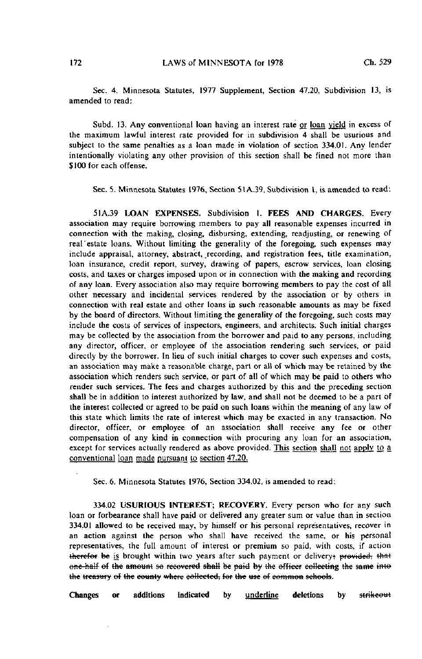Sec. 4. Minnesota Statutes, 1977 Supplement, Section 47.20, Subdivision 13, is amended to read:

Subd. 13. Any conventional loan having an interest rate or loan yield in excess of the maximum lawful interest rate provided for in subdivision 4 shall be usurious and subject to the same penalties as a loan made in violation of section 334.01. Any lender intentionally violating any other provision of this section shall be fined not more than \$100 for each offense.

Sec. 5. Minnesota Statutes 1976, Section 51A.39, Subdivision 1, is amended to read:

51A.39 LOAN EXPENSES. Subdivision I. FEES AND CHARGES. Every association may require borrowing members to pay all reasonable expenses incurred in connection with the making, closing, disbursing, extending, readjusting, or renewing of real'estate loans. Without limiting the generality of the foregoing, such expenses may include appraisal, attorney, abstract, recording, and registration fees, title examination, loan insurance, credit report, survey, drawing of papers, escrow services, loan closing costs, and taxes or charges imposed upon or in connection with the making and recording of any loan. Every association also may require borrowing members to pay the cost of all other necessary and incidental services rendered by the association or by others in connection with real estate and other loans in such reasonable amounts as may be fixed by the board of directors. Without limiting the generality of the foregoing, such costs may include the costs of services of inspectors, engineers, and architects. Such initial charges may be collected by the association from the borrower and paid to any persons, including any director, officer, or employee of the association rendering such services, or paid directly by the borrower. In lieu of such initial charges to cover such expenses and costs, an association may make a reasonable charge, part or all of which may be retained by the association which renders such service, or part of all of which may be paid to others who render such services. The fees and charges authorized by this and the preceding section shall be in addition to interest authorized by law, and shall not be deemed to be a part of the interest collected or agreed to be paid on such loans within the meaning of any law of this state which limits the rate of interest which may be exacted in any transaction. No director, officer, or employee of an association shall receive any fee or other compensation of any kind in connection with procuring any loan for an association, except for services actually rendered as above provided. This section shall not apply to  $a$ conventional loan made pursuant to section 47.20.

Sec. 6. Minnesota Statutes 1976, Section 334.02, is amended to read:

334.02 USURIOUS INTEREST; RECOVERY. Every person who for any such loan or forbearance shall have paid or delivered any greater sum or value than in section 334.01 allowed to be received may, by himself or his personal representatives, recover in an action against the person who shall have received the same, or his personal representatives, the full amount of interest or premium so paid, with costs, if action therefor be is brought within two years after such payment or delivery; provided; that one-half of the amount so recovered shall be paid by the officer collecting the same into the treasury of the county where collected; for the use of common schools.